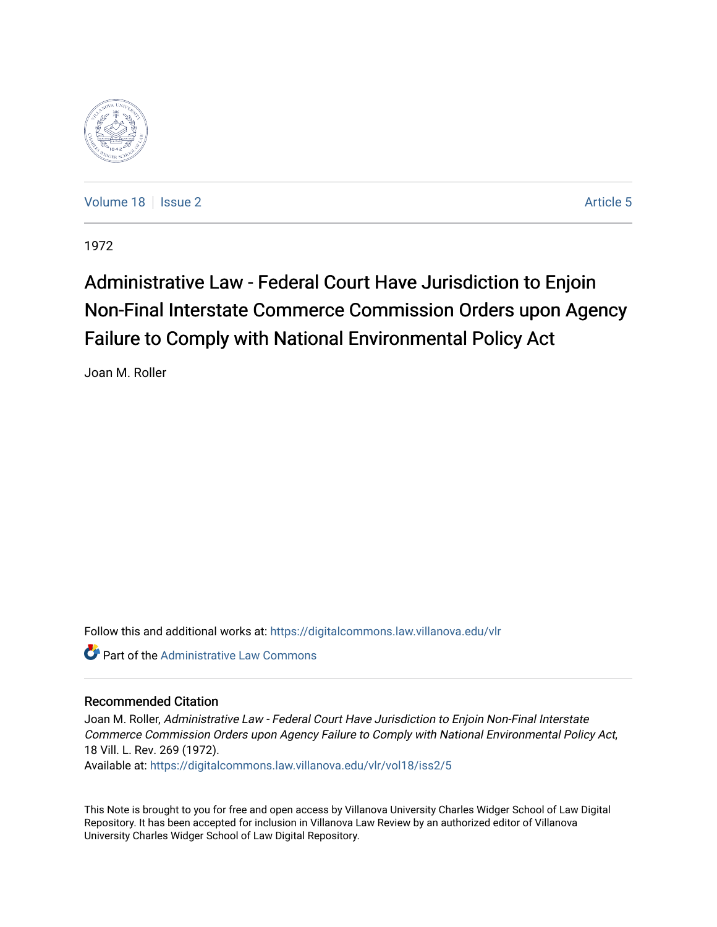

[Volume 18](https://digitalcommons.law.villanova.edu/vlr/vol18) | [Issue 2](https://digitalcommons.law.villanova.edu/vlr/vol18/iss2) Article 5

1972

# Administrative Law - Federal Court Have Jurisdiction to Enjoin Non-Final Interstate Commerce Commission Orders upon Agency Failure to Comply with National Environmental Policy Act

Joan M. Roller

Follow this and additional works at: [https://digitalcommons.law.villanova.edu/vlr](https://digitalcommons.law.villanova.edu/vlr?utm_source=digitalcommons.law.villanova.edu%2Fvlr%2Fvol18%2Fiss2%2F5&utm_medium=PDF&utm_campaign=PDFCoverPages)

**C** Part of the Administrative Law Commons

### Recommended Citation

Joan M. Roller, Administrative Law - Federal Court Have Jurisdiction to Enjoin Non-Final Interstate Commerce Commission Orders upon Agency Failure to Comply with National Environmental Policy Act, 18 Vill. L. Rev. 269 (1972).

Available at: [https://digitalcommons.law.villanova.edu/vlr/vol18/iss2/5](https://digitalcommons.law.villanova.edu/vlr/vol18/iss2/5?utm_source=digitalcommons.law.villanova.edu%2Fvlr%2Fvol18%2Fiss2%2F5&utm_medium=PDF&utm_campaign=PDFCoverPages) 

This Note is brought to you for free and open access by Villanova University Charles Widger School of Law Digital Repository. It has been accepted for inclusion in Villanova Law Review by an authorized editor of Villanova University Charles Widger School of Law Digital Repository.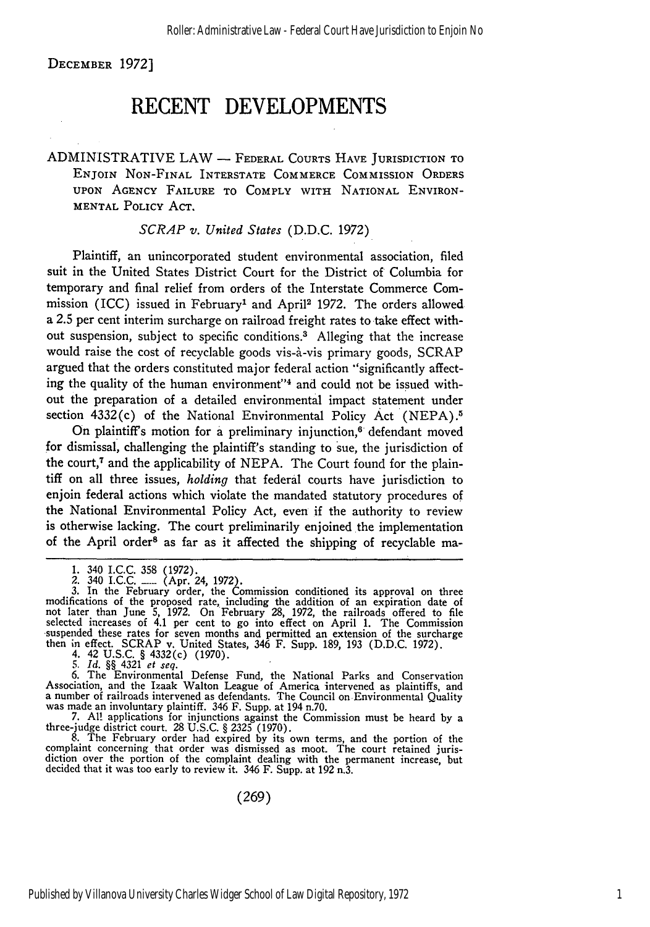DECEMBER 1972]

## **RECENT DEVELOPMENTS**

ADMINISTRATIVE LAW **-** FEDERAL COURTS **HAVE** JURISDICTION TO ENJOIN NON-FINAL INTERSTATE COMMERCE COMMISSION ORDERS UPON AGENCY FAILURE TO COMPLY WITH NATIONAL ENVIRON-MENTAL POLICY ACT.

### *SCRAP v. United States* (D.D.C. 1972)

Plaintiff, an unincorporated student environmental association, filed suit in the United States District Court for the District of Columbia for temporary and final relief from orders of the Interstate Commerce Commission (ICC) issued in February' and April2 1972. The orders allowed a 2.5 per cent interim surcharge on railroad freight rates to take effect without suspension, subject to specific conditions.<sup>3</sup> Alleging that the increase would raise the cost of recyclable goods vis-à-vis primary goods, SCRAP argued that the orders constituted major federal action "significantly affecting the quality of the human environment"4 and could not be issued without the preparation of a detailed environmental impact statement under section 4332(c) of the National Environmental Policy Act (NEPA).<sup>5</sup>

On plaintiff's motion for a preliminary injunction, $6$  defendant moved for dismissal, challenging the plaintiff's standing to sue, the jurisdiction of the court, $<sup>7</sup>$  and the applicability of NEPA. The Court found for the plain-</sup> tiff on all three issues, *holding* that federal courts have jurisdiction to enjoin federal actions which violate the mandated statutory procedures of the National Environmental Policy Act, even if the authority to review is otherwise lacking. The court preliminarily enjoined the implementation of the April order<sup>8</sup> as far as it affected the shipping of recyclable ma-

3. In the February order, the Commission conditioned its approval on three modifications of the proposed rate, including the addition of an expiration date of<br>not later than June 5, 1972. On February 28, 1972, the railroads offered to file selected increases of 4.1 per cent to go into effect on April 1. The Commission suspended these rates for seven months and permitted an extension of the surcharge then in effect. SCRAP v. United States, 346 F. Supp. 189, 193 (D.D.C. 1972). 4. 42 U.S.C. § 4332(c) (1970).

*5. Id.* §§ 4321 *et seq.*

6. The Environmental Defense Fund, the National Parks and Conservation<br>Association, and the Izaak Walton League of America intervened as plaintiffs, and<br>a number of railroads intervened as defendants. The Council on Enviro

7. **Al!** applications for injunctions against the Commission must be heard by a three-judge district court. 28 U.S.C. § 2325 (1970).

8. The February order had expired by its own terms, and the portion of the complaint concerning that order was dismissed as moot. The court retained juris- diction over the portion of the complaint dealing with the permanent increase, but decided that it was too early to review it. 346 F. Supp. at 192 n.3.

(269)

<sup>1. 340</sup> I.C.C. 358 (1972).<br>2. 340 I.C.C. (Apr. 24, 1972)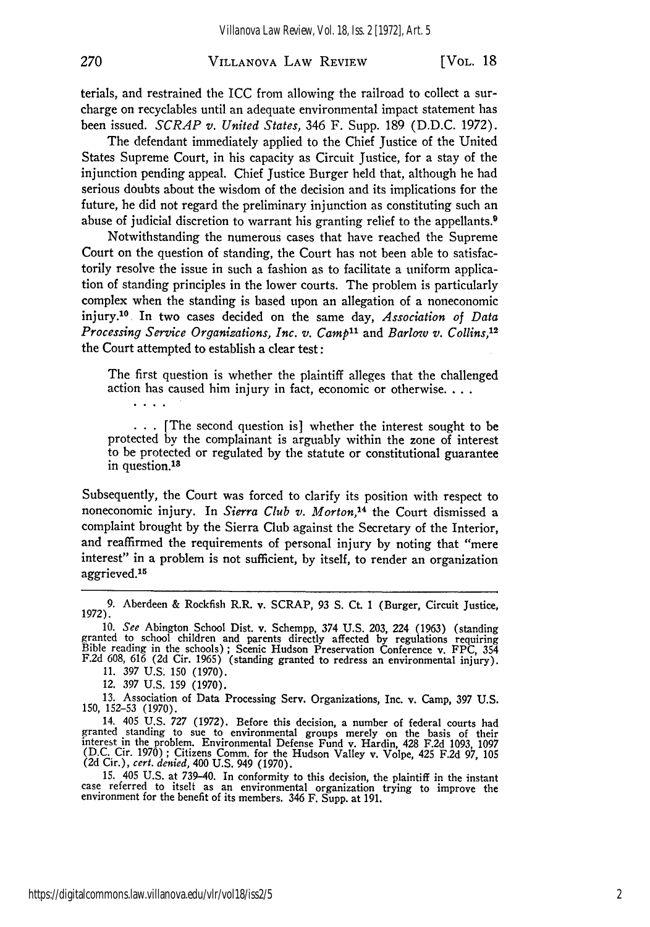### VILLANOVA LAW REVIEW

terials, and restrained the ICC from allowing the railroad to collect a surcharge on recyclables until an adequate environmental impact statement has been issued. *SCRAP v. United States,* 346 F. Supp. 189 (D.D.C. 1972).

The defendant immediately applied to the Chief Justice of the United States Supreme Court, in his capacity as Circuit Justice, for a stay of the injunction pending appeal. Chief Justice Burger held that, although he had serious doubts about the wisdom of the decision and its implications for the future, he did not regard the preliminary injunction as constituting such an abuse of judicial discretion to warrant his granting relief to the appellants.9

Notwithstanding the numerous cases that have reached the Supreme Court on the question of standing, the Court has not been able to satisfactorily resolve the issue in such a fashion as to facilitate a uniform application of standing principles in the lower courts. The problem is particularly complex when the standing is based upon an allegation of a noneconomic injury.10 In two cases decided on the same day, *Association of Data Processing Service Organizations, Inc. v. Camp*<sup>11</sup> and *Barlow v. Collins*,<sup>12</sup> the Court attempted to establish a clear test:

The first question is whether the plaintiff alleges that the challenged action has caused him injury in fact, economic or otherwise....

 $\ldots$  The second question is] whether the interest sought to be protected by the complainant is arguably within the zone of interest to be protected or regulated by the statute or constitutional guarantee in question.<sup>18</sup>

Subsequently, the Court was forced to clarify its position with respect to noneconomic injury. In *Sierra Club v. Morton,14* the Court dismissed a complaint brought **by** the Sierra Club against the Secretary of the Interior, and reaffirmed the requirements of personal injury **by** noting that "mere interest" in a problem is not sufficient, **by** itself, to render an organization aggrieved.<sup>15</sup>

 $2.12 - 1.12$ 

270

14. 405 U.S. 727 (1972). Before this decision, a number of federal courts had granted standing to sue to environmental groups merely on the basis of their interest in the problem. Environmental Defense Fund v. Hardin, 428 F.2d 1093, 1097<br>(D.C. Cir. 1970) ; Citizens Comm. for the Hudson Valley v. Volpe, 425 F.2d 97, 105<br>(2d Cir.), cert. denied, 400 U.S. 949 (1970).

15. 405 **U.S.** at 739-40. In conformity to this decision, the plaintiff in the instant case referred to itself as an environmental organization trying to improve the environment for the benefit of its members. **346** F. Supp. at 191.

<sup>9.</sup> Aberdeen & Rockfish R.R. v. SCRAP, 93 **S.** Ct. 1 (Burger, Circuit Justice, 1972).

<sup>10.</sup> See Abington School Dist. v. Schempp, 374 U.S. 203, 224 (1963) (standing<br>granted to school children and parents directly affected by regulations requiring<br>Bible reading in the schools); Scenic Hudson Preservation Confe F.2d 608, 616 (2d Cir. 1965) (standing granted to redress an environmental injury).

<sup>11. 397</sup> U.S. 150 (1970).

<sup>12. 397</sup> U.S. 159 (1970).

<sup>13.</sup> Association of Data Processing Serv. Organizations, Inc. v. Camp, 397 **U.S.** 150, 152-53 (1970).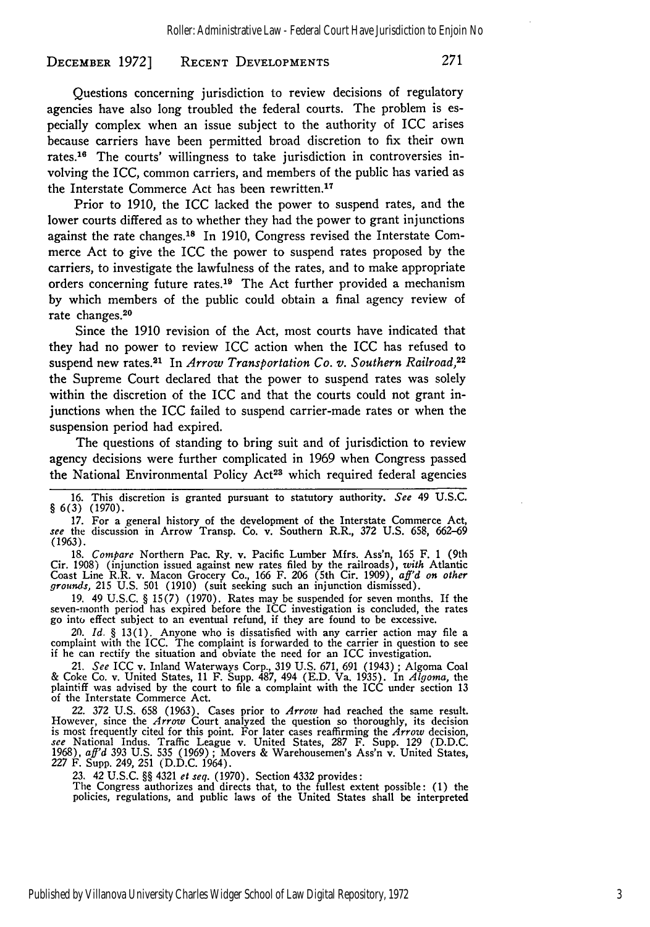#### **RECENT DEVELOPMENTS DECEMBER 1972]**

Questions concerning jurisdiction to review decisions of regulatory agencies have also long troubled the federal courts. The problem is especially complex when an issue subject to the authority of ICC arises because carriers have been permitted broad discretion to fix their own rates.16 The courts' willingness to take jurisdiction in controversies involving the ICC, common carriers, and members of the public has varied as the Interstate Commerce Act has been rewritten.<sup>17</sup>

Prior to 1910, the ICC lacked the power to suspend rates, and the lower courts differed as to whether they had the power to grant injunctions against the rate changes.<sup>18</sup> In 1910, Congress revised the Interstate Commerce Act to give the ICC the power to suspend rates proposed by the carriers, to investigate the lawfulness of the rates, and to make appropriate orders concerning future rates.<sup>19</sup> The Act further provided a mechanism by which members of the public could obtain a final agency review of rate changes.20

Since the **1910** revision of the Act, most courts have indicated that they had no power to review ICC action when the ICC has refused to suspend new rates.<sup>21</sup> In *Arrow Transportation Co. v. Southern Railroad*,<sup>22</sup> the Supreme Court declared that the power to suspend rates was solely within the discretion of the ICC and that the courts could not grant injunctions when the ICC failed to suspend carrier-made rates or when the suspension period had expired.

The questions of standing to bring suit and of jurisdiction to review agency decisions were further complicated in **1969** when Congress passed the National Environmental Policy Act<sup>23</sup> which required federal agencies

**17.** For a general history of the development of the Interstate Commerce Act, *see* the discussion in Arrow Transp. Co. v. Southern R.R., 372 **U.S. 658, 662-69**

(1963).<br>18. *Compare* Northern Pac. Ry. v. Pacific Lumber Mirs. Ass'n, 165 F. 1 (9th **18.** *Compare* Northern Pac. Ry. v. Pacific Lumber Mfrs. Ass'n **165 F.** 1 (9th Cir. **1908)** (injunction issued against new rates filed **by** the railroads), *with* Atlantic Coast Line R.R. v. Macon Grocery Co., **166** F. **206** (5th Cir. **1909),** *aff'd on other grounds,* **215 U.S. 501 (1910)** (suit seeking such an injunction dismissed).

**19.** 49 **U.S.C.** § **15(7) (1970).** Rates may be suspended for seven months. If the seven-month period has expired before the ICC investigation is concluded, the rates go into effect subject to an eventual refund, if they are found to **be** excessive.

20. *Id.* § 13(1). Anyone who is dissatisfied with any carrier action may file a complaint with the ICC. The complaint is forwarded to the carrier in question to see if he can rectify the situation and obviate the need for

*21. See* ICC v. Inland Waterways Corp., **319 U.S. 671, 691** (1943) ; Algoma Coal & Coke Co. v. United States, **11** F. Supp. **487,** 494 **(E.D.** Va. **1935).** In *Algoma,* the plaintiff was advised **by** the court to file a complaint with the ICC under section **13** of the Interstate Commerce Act.

22. **372 U.S. 658 (1963).** Cases prior to *Arrow* had reached the same result. However, since the *Arrow* Court analyzed the question so thoroughly, its decision is most frequently cited for this point. For later cases reaffirming the *Arrow* decision, see National Indus. Traffic League v. United States, 287 F. Supp. 129 (D.D.C. 1968), aff'd 393 U.S. 535 (1969); Movers & Warehousemen's Ass'n v. United States, 227 F. Supp. 249, 251 (D.D.C. 1964).

23. 42 U.S.C. §§ 4321 *et seq.* (1970). Section 4332 provides:<br>The Congress authorizes and directs that, to the fullest extent possible: (1) the policies, regulations, and public laws of the United States shall be interpre

**<sup>16.</sup>** This discretion is granted pursuant to statutory authority. *See* 49 **U.S.C.** § **6(3) (1970).**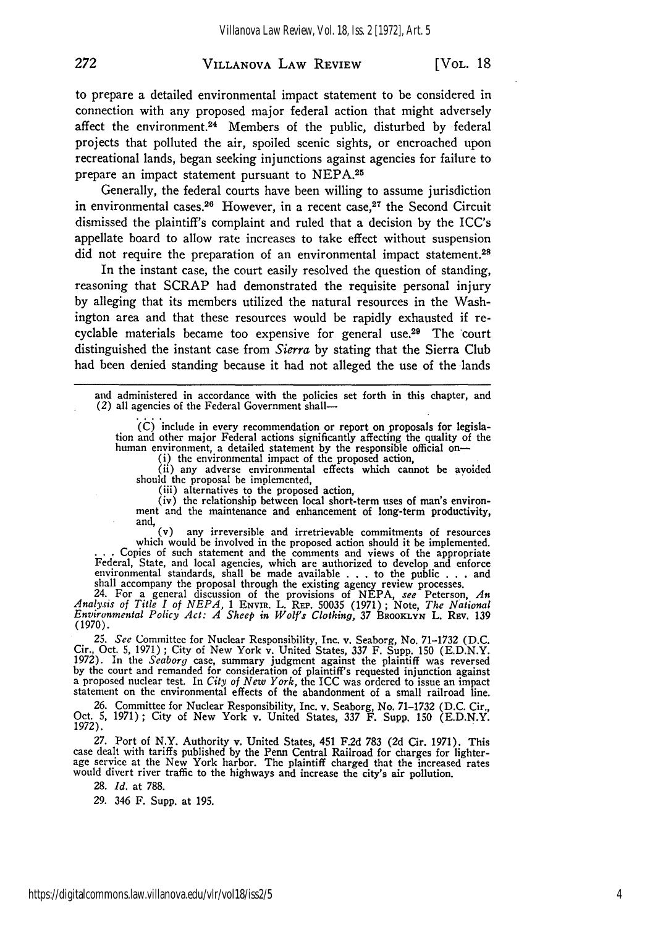### VILLANOVA LAW REVIEW

to prepare a detailed environmental impact statement to be considered in connection with any proposed major federal action that might adversely affect the environment.<sup>24</sup> Members of the public, disturbed by federal projects that polluted the air, spoiled scenic sights, or encroached upon recreational lands, began seeking injunctions against agencies for failure to prepare an impact statement pursuant to NEPA.<sup>25</sup>

Generally, the federal courts have been willing to assume jurisdiction in environmental cases.<sup>26</sup> However, in a recent case.<sup>27</sup> the Second Circuit dismissed the plaintiff's complaint and ruled that a decision by the ICC's appellate board to allow rate increases to take effect without suspension did not require the preparation of an environmental impact statement.<sup>28</sup>

In the instant case, the court easily resolved the question of standing, reasoning that SCRAP had demonstrated the requisite personal injury by alleging that its members utilized the natural resources in the Washington area and that these resources would be rapidly exhausted if recyclable materials became too expensive for general use.29 The court distinguished the instant case from Sierra by stating that the Sierra Club had been denied standing because it had not alleged the use of the lands

and administered in accordance with the policies set forth in this chapter, and (2) all agencies of the Federal Government shall-

 $(C)$  include in every recommendation or report on proposals for legislation and other major Federal actions significantly affecting the quality of the human environment, a detailed statement by the responsible official on human environment, a detailed statement by the responsible official on-<br>
(i) the environmental impact of the proposed action,<br>
(ii) any adverse environmental effects which cannot be avoided

should the proposal be implemented, (iii) alternatives to the proposed action,

(iii) alternatives to the proposed action,<br>(iii) alternatives to the proposed action,<br>(iv) the relationship between local short-term uses of man's environment and the maintenance and enhancement of long-term productivity, and,

 $(v)$  any irreversible and irretrievable commitments of resources which would be involved in the proposed action should it be implemented.<br>Copies of such statement and the comments and views of the appropriate environmental standards, shall be made available . . . to the public . . . and shall accompany the proposal through the existing agency review processes. 24. For a general discussion of the provisions of NEPA, see Peterson, *An*

*Analysis of Title I of NEPA,* **1** ENVIR. L. **REP.** 50035 (1971) ; Note, *The National Environmental Policy Act: A Sheep in Wolf's Clothing,* 37 BROOKLYN L. Rsv. 139 (1970).

25. See Committee for Nuclear Responsibility, Inc. v. Seaborg, No. 71-1732 (D.C.<br>Cir., Oct. 5, 1971); City of New York v. United States, 337 F. Supp. 150 (E.D.N.Y.<br>1972). In the Seaborg case, summary judgment against the p **by** the court and remanded for consideration of plaintiff's requested injunction against a proposed nuclear test. In *City of New York,* the ICC was ordered to issue an impact statement on the environmental effects of the abandonment of a small railroad line.

26. Committee for Nuclear Responsibility, Inc. v. Seaborg, No. 71-1732 (D.C. Cir., Oct. **5, 1971);** City of New York v. United States, *337* F. Supp. **150** (E.D.N.Y. 1972).

27. Port of N.Y. Authority v. United States, 451 F.2d 783 (2d Cir. 1971). This case dealt with tariffs published by the Penn Central Railroad for charges for lighter-age service at the New York harbor. The plaintiff charge would divert river traffic to the highways and increase the city's air pollution.

28. *Id.* at 788.

29. 346 F. Supp. at **195.**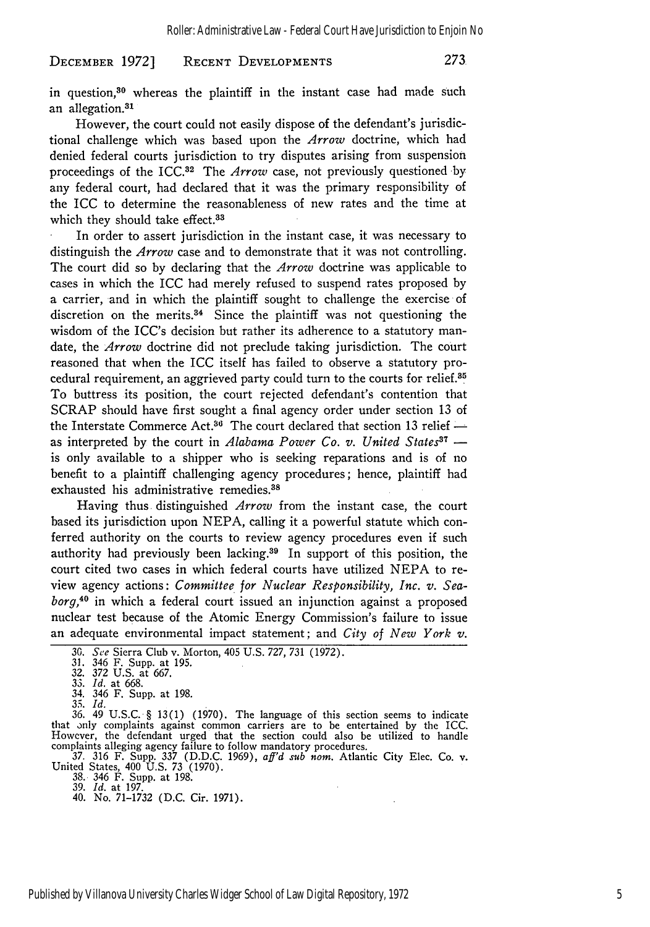273 DECEMBER **1972] RECENT DEVELOPMENTS**

in question,<sup>30</sup> whereas the plaintiff in the instant case had made such an allegation.<sup>31</sup>

However, the court could not easily dispose of the defendant's jurisdictional challenge which was based upon the *Arrow* doctrine, which had denied federal courts jurisdiction to try disputes arising from suspension proceedings of the ICC.<sup>32</sup> The *Arrow* case, not previously questioned by any federal court, had declared that it was the primary responsibility of the ICC to determine the reasonableness of new rates and the time at which they should take effect.<sup>33</sup>

In order to assert jurisdiction in the instant case, it was necessary to distinguish the *Arrow* case and to demonstrate that it was not controlling. The court did so by declaring that the *Arrow* doctrine was applicable to cases in which the ICC had merely refused to suspend rates proposed by a carrier, and in which the plaintiff sought to challenge the exercise of discretion on the merits. $34$  Since the plaintiff was not questioning the wisdom of the ICC's decision but rather its adherence to a statutory mandate, the *Arrow* doctrine did not preclude taking jurisdiction. The court reasoned that when the ICC itself has failed to observe a statutory procedural requirement, an aggrieved party could turn to the courts for relief.35 To buttress its position, the court rejected defendant's contention that SCRAP should have first sought a final agency order under section 13 of the Interstate Commerce Act.<sup>36</sup> The court declared that section 13 relief as interpreted by the court in *Alabama Power Co. v. United States*<sup>37</sup> is only available to a shipper who is seeking reparations and is of no benefit to a plaintiff challenging agency procedures; hence, plaintiff had exhausted his administrative remedies. <sup>38</sup>

Having thus distinguished *Arrow* from the instant case, the court based its jurisdiction upon NEPA, calling it a powerful statute which conferred authority on the courts to review agency procedures even if such authority had previously been lacking. $39$  In support of this position, the court cited two cases in which federal courts have utilized NEPA to review agency actions: *Committee for Nuclear Responsibility, Inc. v. Seaborg,40* in which a federal court issued an injunction against a proposed nuclear test because of the Atomic Energy Commission's failure to issue an adequate environmental impact statement; and *City of New York v.*

36. 49 U.S.C. § 13(1) (1970). The language of this section seems to indicate that only complaints against common carriers are to be entertained by the ICC. However, the defendant urged that the section could also be utilized to handle

complaints alleging agency failure to follow mandatory procedures. 37. 316 F. Supp. **337** (D.D.C. 1969), *aff'd sub nom.* Atlantic City Elec. Co. v. United States, 400 U.S. **73** (1970). 38. 346 F. Supp. at 198.

39. *Id.* at 197.

40. No. 71-1732 (D.C. Cir. 1971).

**<sup>30.</sup>** See Sierra Club v. Morton, 405 U.S. 727, 731 (1972).

<sup>31. 346</sup> F. Supp. at 195. 32. 372 U.S. at 667.

**<sup>33.</sup>** *Id.* at 668.

<sup>34. 346</sup> F. Supp. at 198.

<sup>35.</sup> *Id.*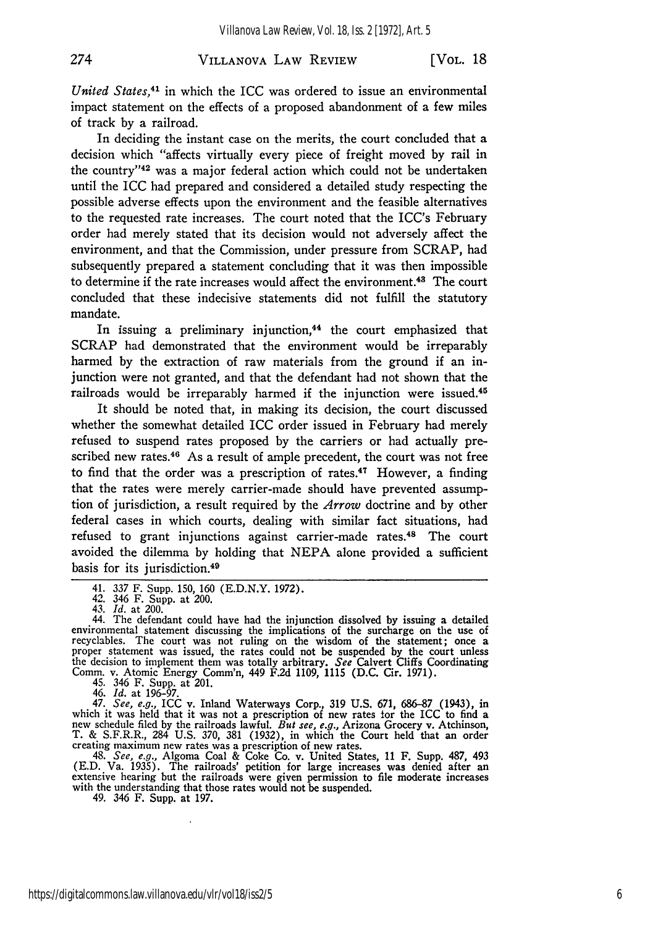### VILLANOVA LAW REVIEW

274

*United States,<sup>41</sup>*in which the ICC was ordered to issue an environmental impact statement on the effects of a proposed abandonment of a few miles of track **by** a railroad.

In deciding the instant case on the merits, the court concluded that a decision which "affects virtually every piece of freight moved **by** rail in the country"<sup>42</sup> was a major federal action which could not be undertaken until the ICC had prepared and considered a detailed study respecting the possible adverse effects upon the environment and the feasible alternatives to the requested rate increases. The court noted that the ICC's February order had merely stated that its decision would not adversely affect the environment, and that the Commission, under pressure from SCRAP, had subsequently prepared a statement concluding that it was then impossible to determine if the rate increases would affect the environment.<sup>43</sup> The court concluded that these indecisive statements did not fulfill the statutory mandate.

In issuing a preliminary injunction,<sup>44</sup> the court emphasized that SCRAP had demonstrated that the environment would be irreparably harmed **by** the extraction of raw materials from the ground if an injunction were not granted, and that the defendant had not shown that the railroads would be irreparably harmed if the injunction were issued.<sup>45</sup>

It should be noted that, in making its decision, the court discussed whether the somewhat detailed ICC order issued in February had merely refused to suspend rates proposed **by** the carriers or had actually prescribed new rates.<sup>46</sup> As a result of ample precedent, the court was not free to find that the order was a prescription of rates.<sup>47</sup> However, a finding that the rates were merely carrier-made should have prevented assumption of jurisdiction, a result required by the *Arrow* doctrine and by other federal cases in which courts, dealing with similar fact situations, had refused to grant injunctions against carrier-made rates.<sup>48</sup> The court avoided the dilemma by holding that NEPA alone provided a sufficient basis for its jurisdiction.49

45. 346 F. Supp. at 201.<br>
46. Id. at 196-97.<br>
47. See, e.g., ICC v. Inland Waterways Corp., 319 U.S. 671, 686-87 (1943), in<br>
which it was held that it was not a prescription of new rates for the ICC to find a<br>
new schedul creating maximum new rates was a prescription of new rates. 48. *See, e.g.,* Algoma Coal & Coke Co. v. United States, 11 F. Supp. 487, 493

(E.D. Va. 1935). The railroads' petition for large increases was denied after an extensive hearing but the railroads were given permission to file moderate increases with the understanding that those rates would not be suspended. 49. 346 F. Supp. at 197.

<sup>41. 337</sup> F. Supp. **150, 160** (E.D.N.Y. 1972).

*<sup>42. 346</sup>* F. Supp. at 200.

<sup>43.</sup> *Id.* at 200.

<sup>44.</sup> The defendant could have had the injunction dissolved by issuing a detailed environmental statement discussing the implications of the surcharge on the use of recyclables. The court was not ruling on the wisdom of the statement; once a proper statement was issued, the rates could not be suspended the decision to implement them was totally arbitrary. *See* Calvert Cliffs Coordinating Comm. v. Atomic Energy Comm'n, 449 F.2d 1109, 1115 (D.C. Cir. 1971).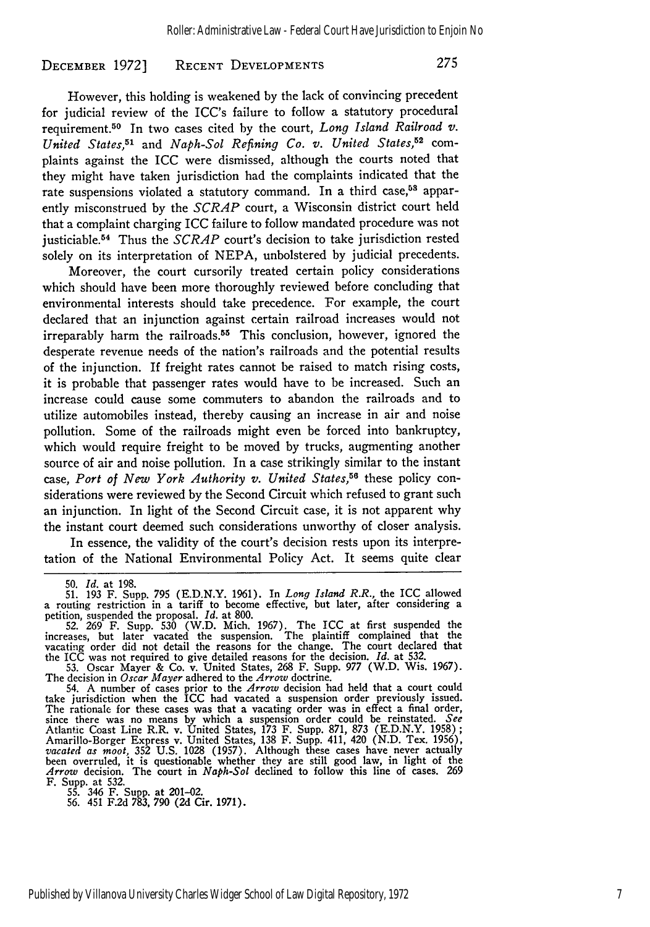#### **RECENT DEVELOPMENTS** DECEMBER **1972]**

However, this holding is weakened by the lack of convincing precedent for judicial review of the ICC's failure to follow a statutory procedural requirement.50 In two cases cited by the court, *Long Island Railroad v. United States,51* and *Naph-Sol Refining Co. v. United States,52* complaints against the ICC were dismissed, although the courts noted that they might have taken jurisdiction had the complaints indicated that the rate suspensions violated a statutory command. In a third case,<sup>58</sup> apparently misconstrued by the *SCRAP* court, a Wisconsin district court held that a complaint charging ICC failure to follow mandated procedure was not justiciable.54 Thus the *SCRAP* court's decision to take jurisdiction rested solely on its interpretation of NEPA, unbolstered by judicial precedents.

Moreover, the court cursorily treated certain policy considerations which should have been more thoroughly reviewed before concluding that environmental interests should take precedence. For example, the court declared that an injunction against certain railroad increases would not irreparably harm the railroads.<sup>55</sup> This conclusion, however, ignored the desperate revenue needs of the nation's railroads and the potential results of the injunction. If freight rates cannot be raised to match rising costs, it is probable that passenger rates would have to be increased. Such an increase could cause some commuters to abandon the railroads and to utilize automobiles instead, thereby causing an increase in air and noise pollution. Some of the railroads might even be forced into bankruptcy, which would require freight to be moved by trucks, augmenting another source of air and noise pollution. In a case strikingly similar to the instant case, Port of New York Authority v. United States,<sup>56</sup> these policy considerations were reviewed by the Second Circuit which refused to grant such an injunction. In light of the Second Circuit case, it is not apparent why the instant court deemed such considerations unworthy of closer analysis.

In essence, the validity of the court's decision rests upon its interpretation of the National Environmental Policy Act. It seems quite clear

50. *Id.* at 198.

<sup>51. 193</sup> F. Supp. 795 (E.D.N.Y. 1961). In Long Island R.R., the ICC allowed<br>a routing restriction in a tariff to become effective, but later, after considering a<br>petition, suspended the proposal. Id. at 800.<br>52. 269 F. Supp

increases, but later vacated the suspension. The plaintiff complained that the vacating order did not detail the reasons for the change. The court declared that the ICC was not required to give detailed reasons for the decision. *Id.* at 532.

<sup>53.</sup> Oscar Mayer & Co. v. United States, 268 F. Supp. 977 (W.D. Wis. 1967). The decision in *Oscar Mayer* adhered to the *Arrow* doctrine.

<sup>54.</sup> A number of cases prior to the *Arrow* decision had held that a court could take jurisdiction when the ICC had vacated a suspension order previously issued. The rationale for these cases was that a vacating order was in effect a final order, since there was no means by which a suspension order could be reinstated. See<br>Atlantic Coast Line R.R. v. United States, 173 F. Supp. 871, 873 (E.D.N.Y. 1958);<br>Amarillo-Borger Express v. United States, 138 F. Supp. 411, 42 been overruled, it is questionable whether they are still good law, in light of the *Arrow* decision. The court in *Naph-Sol* declined to follow this line of cases. 269 F. Supp. at 532. 55. 346 F. Supp. at 201-02. 56. 451 F.2d 783, 790 (2d Cir. 1971).